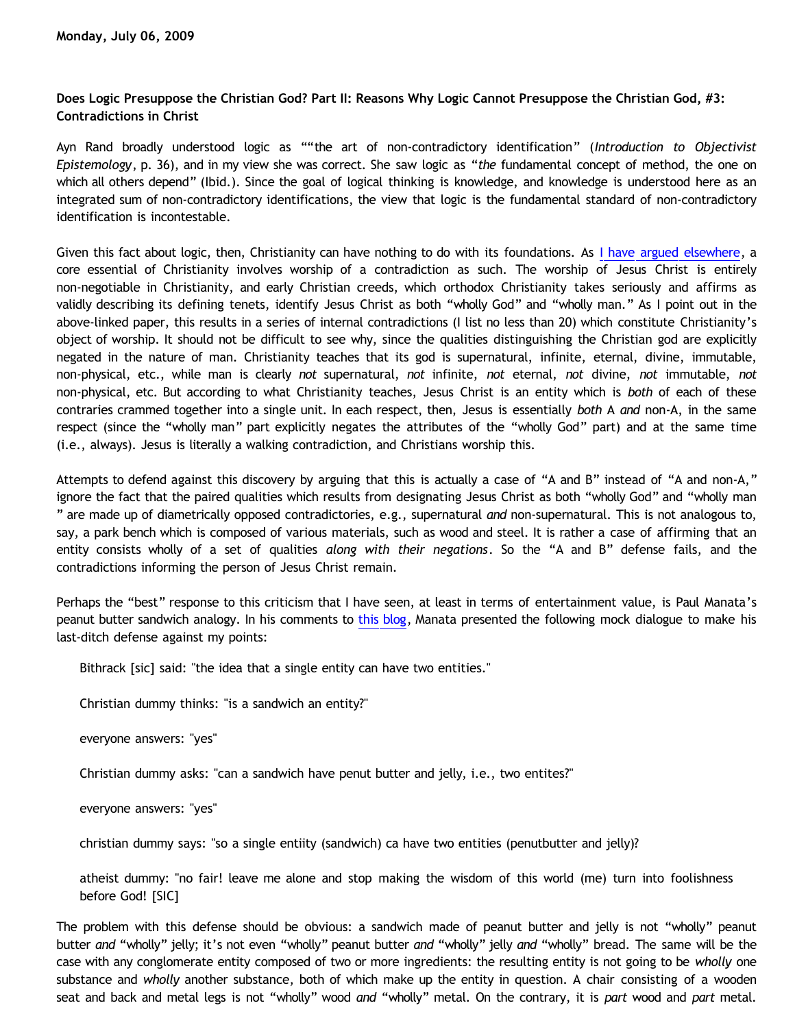# **Does Logic Presuppose the Christian God? Part II: Reasons Why Logic Cannot Presuppose the Christian God, #3: Contradictions in Christ**

Ayn Rand broadly understood logic as ""the art of non-contradictory identification" (*Introduction to Objectivist Epistemology*, p. 36), and in my view she was correct. She saw logic as "*the* fundamental concept of method, the one on which all others depend" (Ibid.). Since the goal of logical thinking is knowledge, and knowledge is understood here as an integrated sum of non-contradictory identifications, the view that logic is the fundamental standard of non-contradictory identification is incontestable.

Given this fact about logic, then, Christianity can have nothing to do with its foundations. As [I have argued elsewhere,](http://bahnsenburner.blogspot.com/2005/08/christianity-as-worship-of-self.html) a core essential of Christianity involves worship of a contradiction as such. The worship of Jesus Christ is entirely non-negotiable in Christianity, and early Christian creeds, which orthodox Christianity takes seriously and affirms as validly describing its defining tenets, identify Jesus Christ as both "wholly God" and "wholly man." As I point out in the above-linked paper, this results in a series of internal contradictions (I list no less than 20) which constitute Christianity's object of worship. It should not be difficult to see why, since the qualities distinguishing the Christian god are explicitly negated in the nature of man. Christianity teaches that its god is supernatural, infinite, eternal, divine, immutable, non-physical, etc., while man is clearly *not* supernatural, *not* infinite, *not* eternal, *not* divine, *not* immutable, *not* non-physical, etc. But according to what Christianity teaches, Jesus Christ is an entity which is *both* of each of these contraries crammed together into a single unit. In each respect, then, Jesus is essentially *both* A *and* non-A, in the same respect (since the "wholly man" part explicitly negates the attributes of the "wholly God" part) and at the same time (i.e., always). Jesus is literally a walking contradiction, and Christians worship this.

Attempts to defend against this discovery by arguing that this is actually a case of "A and B" instead of "A and non-A," ignore the fact that the paired qualities which results from designating Jesus Christ as both "wholly God" and "wholly man " are made up of diametrically opposed contradictories, e.g., supernatural *and* non-supernatural. This is not analogous to, say, a park bench which is composed of various materials, such as wood and steel. It is rather a case of affirming that an entity consists wholly of a set of qualities *along with their negations*. So the "A and B" defense fails, and the contradictions informing the person of Jesus Christ remain.

Perhaps the "best" response to this criticism that I have seen, at least in terms of entertainment value, is Paul Manata's peanut butter sandwich analogy. In his comments to [this blog,](http://bahnsenburner.blogspot.com/2005/08/christ-jesus-still-jumble-of.html) Manata presented the following mock dialogue to make his last-ditch defense against my points:

Bithrack [sic] said: "the idea that a single entity can have two entities."

Christian dummy thinks: "is a sandwich an entity?"

everyone answers: "yes"

Christian dummy asks: "can a sandwich have penut butter and jelly, i.e., two entites?"

everyone answers: "yes"

christian dummy says: "so a single entiity (sandwich) ca have two entities (penutbutter and jelly)?

atheist dummy: "no fair! leave me alone and stop making the wisdom of this world (me) turn into foolishness before God! [SIC]

The problem with this defense should be obvious: a sandwich made of peanut butter and jelly is not "wholly" peanut butter *and* "wholly" jelly; it's not even "wholly" peanut butter *and* "wholly" jelly *and* "wholly" bread. The same will be the case with any conglomerate entity composed of two or more ingredients: the resulting entity is not going to be *wholly* one substance and *wholly* another substance, both of which make up the entity in question. A chair consisting of a wooden seat and back and metal legs is not "wholly" wood *and* "wholly" metal. On the contrary, it is *part* wood and *part* metal.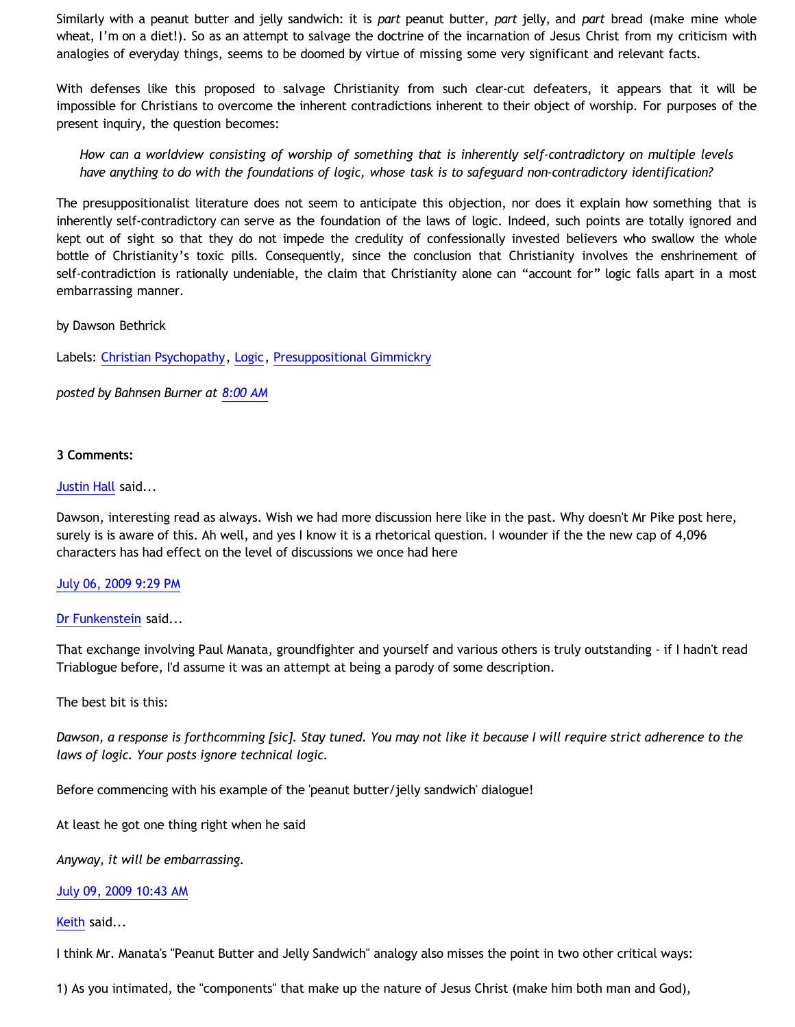Similarly with a peanut butter and jelly sandwich: it is *part* peanut butter, *part* jelly, and *part* bread (make mine whole wheat, I'm on a diet!). So as an attempt to salvage the doctrine of the incarnation of Jesus Christ from my criticism with analogies of everyday things, seems to be doomed by virtue of missing some very significant and relevant facts.

With defenses like this proposed to salvage Christianity from such clear-cut defeaters, it appears that it will be impossible for Christians to overcome the inherent contradictions inherent to their object of worship. For purposes of the present inquiry, the question becomes:

*How can a worldview consisting of worship of something that is inherently self-contradictory on multiple levels have anything to do with the foundations of logic, whose task is to safeguard non-contradictory identification?*

The presuppositionalist literature does not seem to anticipate this objection, nor does it explain how something that is inherently self-contradictory can serve as the foundation of the laws of logic. Indeed, such points are totally ignored and kept out of sight so that they do not impede the credulity of confessionally invested believers who swallow the whole bottle of Christianity's toxic pills. Consequently, since the conclusion that Christianity involves the enshrinement of self-contradiction is rationally undeniable, the claim that Christianity alone can "account for" logic falls apart in a most embarrassing manner.

by Dawson Bethrick

Labels: [Christian Psychopathy](http://bahnsenburner.blogspot.com/search/label/Christian%20Psychopathy), [Logic](http://bahnsenburner.blogspot.com/search/label/Logic), [Presuppositional Gimmickry](http://bahnsenburner.blogspot.com/search/label/Presuppositional%20Gimmickry)

*posted by Bahnsen Burner at [8:00 AM](http://bahnsenburner.blogspot.com/2009/07/does-logic-presuppose-christian-god_06.html)*

## **3 Comments:**

## [Justin Hall](http://www.blogger.com/profile/17804641315202800289) said...

Dawson, interesting read as always. Wish we had more discussion here like in the past. Why doesn't Mr Pike post here, surely is is aware of this. Ah well, and yes I know it is a rhetorical question. I wounder if the the new cap of 4,096 characters has had effect on the level of discussions we once had here

#### [July 06, 2009 9:29 PM](http://bahnsenburner.blogspot.com/2009/07/2140467113907834953)

#### [Dr Funkenstein](http://www.blogger.com/profile/03620894198842461714) said...

That exchange involving Paul Manata, groundfighter and yourself and various others is truly outstanding - if I hadn't read Triablogue before, I'd assume it was an attempt at being a parody of some description.

#### The best bit is this:

*Dawson, a response is forthcomming [sic]. Stay tuned. You may not like it because I will require strict adherence to the laws of logic. Your posts ignore technical logic.*

Before commencing with his example of the 'peanut butter/jelly sandwich' dialogue!

At least he got one thing right when he said

*Anyway, it will be embarrassing.*

## [July 09, 2009 10:43 AM](http://bahnsenburner.blogspot.com/2009/07/7581170027269992840)

#### [Keith](http://www.blogger.com/profile/14844529811179063030) said...

I think Mr. Manata's "Peanut Butter and Jelly Sandwich" analogy also misses the point in two other critical ways:

1) As you intimated, the "components" that make up the nature of Jesus Christ (make him both man and God),